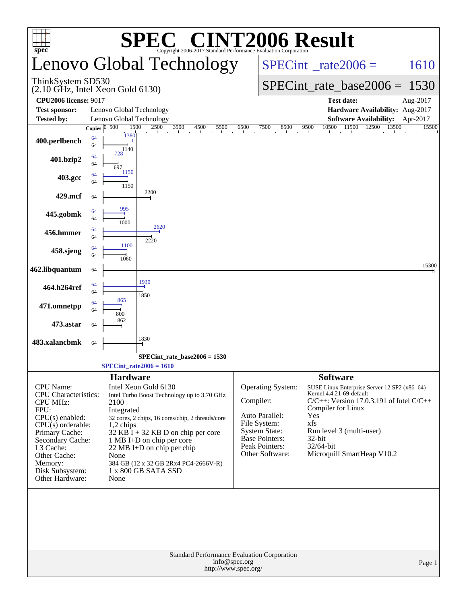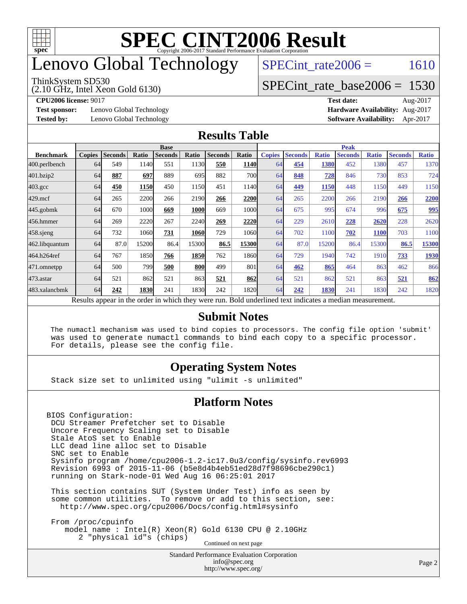

## enovo Global Technology

#### ThinkSystem SD530

(2.10 GHz, Intel Xeon Gold 6130)

SPECint rate $2006 = 1610$ 

### [SPECint\\_rate\\_base2006 =](http://www.spec.org/auto/cpu2006/Docs/result-fields.html#SPECintratebase2006) 1530

**[Test sponsor:](http://www.spec.org/auto/cpu2006/Docs/result-fields.html#Testsponsor)** Lenovo Global Technology **[Hardware Availability:](http://www.spec.org/auto/cpu2006/Docs/result-fields.html#HardwareAvailability)** Aug-2017

**[CPU2006 license:](http://www.spec.org/auto/cpu2006/Docs/result-fields.html#CPU2006license)** 9017 **[Test date:](http://www.spec.org/auto/cpu2006/Docs/result-fields.html#Testdate)** Aug-2017 **[Tested by:](http://www.spec.org/auto/cpu2006/Docs/result-fields.html#Testedby)** Lenovo Global Technology **[Software Availability:](http://www.spec.org/auto/cpu2006/Docs/result-fields.html#SoftwareAvailability)** Apr-2017

### **[Results Table](http://www.spec.org/auto/cpu2006/Docs/result-fields.html#ResultsTable)**

|                    | <b>Base</b>   |                |       |                |            |                |             | <b>Peak</b>   |                |              |                                                                                                          |              |                |              |
|--------------------|---------------|----------------|-------|----------------|------------|----------------|-------------|---------------|----------------|--------------|----------------------------------------------------------------------------------------------------------|--------------|----------------|--------------|
| <b>Benchmark</b>   | <b>Copies</b> | <b>Seconds</b> | Ratio | <b>Seconds</b> | Ratio      | <b>Seconds</b> | Ratio       | <b>Copies</b> | <b>Seconds</b> | <b>Ratio</b> | <b>Seconds</b>                                                                                           | <b>Ratio</b> | <b>Seconds</b> | <b>Ratio</b> |
| 400.perlbench      | 64            | 549            | 1140  | 551            | 1130       | 550            | <b>1140</b> | 64            | 454            | 1380         | 452                                                                                                      | 1380         | 457            | 1370         |
| 401.bzip2          | 64            | 887            | 697   | 889            | 695        | 882            | <b>700</b>  | 64            | 848            | 728          | 846                                                                                                      | 730          | 853            | 724          |
| $403.\mathrm{gcc}$ | 64            | 450            | 1150  | 450            | 1150       | 451            | 1140        | 64            | 449            | 1150         | 448                                                                                                      | 1150         | 449            | 1150         |
| $429$ .mcf         | 64            | 265            | 2200  | 266            | 2190       | 266            | 2200        | 64            | 265            | 2200         | 266                                                                                                      | 2190         | 266            | 2200         |
| $445$ .gobmk       | 64            | 670            | 1000  | 669            | 1000       | 669            | 1000l       | 64            | 675            | 995          | 674                                                                                                      | 996          | 675            | 995          |
| 456.hmmer          | 64            | 269            | 2220  | 267            | 2240       | 269            | 2220        | 64            | 229            | 2610         | 228                                                                                                      | 2620         | 228            | 2620         |
| $458$ .sjeng       | 64            | 732            | 1060  | 731            | 1060       | 729            | 1060        | 64            | 702            | 1100         | 702                                                                                                      | <b>1100</b>  | 703            | 1100         |
| 462.libquantum     | 64            | 87.0           | 15200 | 86.4           | 15300      | 86.5           | 15300       | 64            | 87.0           | 15200        | 86.4                                                                                                     | 15300        | 86.5           | 15300        |
| 464.h264ref        | 64            | 767            | 1850  | 766            | 1850       | 762            | 1860        | 64            | 729            | 1940         | 742                                                                                                      | 1910         | 733            | 1930         |
| 471.omnetpp        | 64            | 500            | 799   | 500            | <b>800</b> | 499            | 801         | 64            | 462            | 865          | 464                                                                                                      | 863          | 462            | 866          |
| $473$ . astar      | 64            | 521            | 862   | 521            | 863        | 521            | 862         | 64            | 521            | 862          | 521                                                                                                      | 863          | 521            | 862          |
| 483.xalancbmk      | 64            | 242            | 1830  | 241            | 1830       | 242            | 1820        | 64            | 242            | 1830         | 241                                                                                                      | 1830         | 242            | 1820         |
|                    |               |                |       |                |            |                |             |               |                |              | Results appear in the order in which they were run. Bold underlined text indicates a median measurement. |              |                |              |

### **[Submit Notes](http://www.spec.org/auto/cpu2006/Docs/result-fields.html#SubmitNotes)**

 The numactl mechanism was used to bind copies to processors. The config file option 'submit' was used to generate numactl commands to bind each copy to a specific processor. For details, please see the config file.

### **[Operating System Notes](http://www.spec.org/auto/cpu2006/Docs/result-fields.html#OperatingSystemNotes)**

Stack size set to unlimited using "ulimit -s unlimited"

### **[Platform Notes](http://www.spec.org/auto/cpu2006/Docs/result-fields.html#PlatformNotes)**

BIOS Configuration: DCU Streamer Prefetcher set to Disable Uncore Frequency Scaling set to Disable Stale AtoS set to Enable LLC dead line alloc set to Disable SNC set to Enable Sysinfo program /home/cpu2006-1.2-ic17.0u3/config/sysinfo.rev6993 Revision 6993 of 2015-11-06 (b5e8d4b4eb51ed28d7f98696cbe290c1) running on Stark-node-01 Wed Aug 16 06:25:01 2017

 This section contains SUT (System Under Test) info as seen by some common utilities. To remove or add to this section, see: <http://www.spec.org/cpu2006/Docs/config.html#sysinfo>

 From /proc/cpuinfo model name : Intel(R) Xeon(R) Gold 6130 CPU @ 2.10GHz 2 "physical id"s (chips) Continued on next page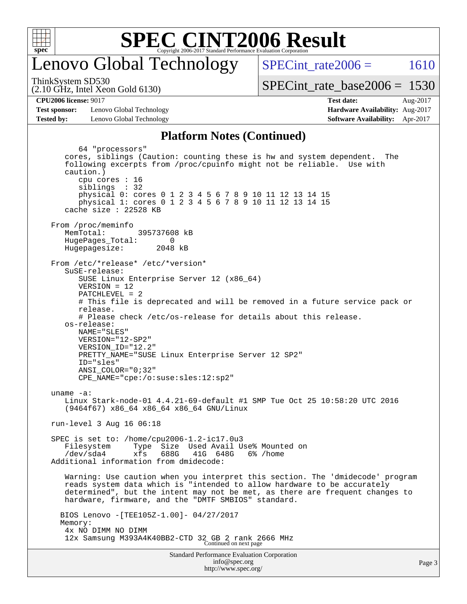

## enovo Global Technology

SPECint rate $2006 = 1610$ 

(2.10 GHz, Intel Xeon Gold 6130) ThinkSystem SD530

[SPECint\\_rate\\_base2006 =](http://www.spec.org/auto/cpu2006/Docs/result-fields.html#SPECintratebase2006) 1530

**[CPU2006 license:](http://www.spec.org/auto/cpu2006/Docs/result-fields.html#CPU2006license)** 9017 **[Test date:](http://www.spec.org/auto/cpu2006/Docs/result-fields.html#Testdate)** Aug-2017

**[Test sponsor:](http://www.spec.org/auto/cpu2006/Docs/result-fields.html#Testsponsor)** Lenovo Global Technology **[Hardware Availability:](http://www.spec.org/auto/cpu2006/Docs/result-fields.html#HardwareAvailability)** Aug-2017 **[Tested by:](http://www.spec.org/auto/cpu2006/Docs/result-fields.html#Testedby)** Lenovo Global Technology **[Software Availability:](http://www.spec.org/auto/cpu2006/Docs/result-fields.html#SoftwareAvailability)** Apr-2017

## **[Platform Notes \(Continued\)](http://www.spec.org/auto/cpu2006/Docs/result-fields.html#PlatformNotes)**

Standard Performance Evaluation Corporation 64 "processors" cores, siblings (Caution: counting these is hw and system dependent. The following excerpts from /proc/cpuinfo might not be reliable. Use with caution.) cpu cores : 16 siblings : 32 physical 0: cores 0 1 2 3 4 5 6 7 8 9 10 11 12 13 14 15 physical 1: cores 0 1 2 3 4 5 6 7 8 9 10 11 12 13 14 15 cache size : 22528 KB From /proc/meminfo<br>MemTotal: 395737608 kB HugePages\_Total: 0<br>Hugepagesize: 2048 kB Hugepagesize: From /etc/\*release\* /etc/\*version\* SuSE-release: SUSE Linux Enterprise Server 12 (x86\_64) VERSION = 12 PATCHLEVEL = 2 # This file is deprecated and will be removed in a future service pack or release. # Please check /etc/os-release for details about this release. os-release: NAME="SLES" VERSION="12-SP2" VERSION\_ID="12.2" PRETTY\_NAME="SUSE Linux Enterprise Server 12 SP2" ID="sles" ANSI\_COLOR="0;32" CPE\_NAME="cpe:/o:suse:sles:12:sp2" uname -a: Linux Stark-node-01 4.4.21-69-default #1 SMP Tue Oct 25 10:58:20 UTC 2016 (9464f67) x86\_64 x86\_64 x86\_64 GNU/Linux run-level 3 Aug 16 06:18 SPEC is set to: /home/cpu2006-1.2-ic17.0u3 Filesystem Type Size Used Avail Use% Mounted on<br>
/dev/sda4 xfs 688G 41G 648G 6% /home  $xfs$  688G 41G 648G 6% /home Additional information from dmidecode: Warning: Use caution when you interpret this section. The 'dmidecode' program reads system data which is "intended to allow hardware to be accurately determined", but the intent may not be met, as there are frequent changes to hardware, firmware, and the "DMTF SMBIOS" standard. BIOS Lenovo -[TEE105Z-1.00]- 04/27/2017 Memory: 4x NO DIMM NO DIMM 12x Samsung M393A4K40BB2-CTD 32 GB 2 rank 2666 MHz Continued on next page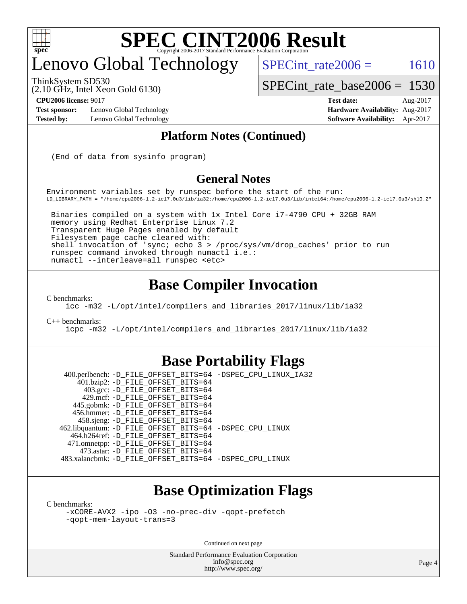

## enovo Global Technology

SPECint rate $2006 = 1610$ 

[SPECint\\_rate\\_base2006 =](http://www.spec.org/auto/cpu2006/Docs/result-fields.html#SPECintratebase2006) 1530

ThinkSystem SD530

(2.10 GHz, Intel Xeon Gold 6130)

**[Tested by:](http://www.spec.org/auto/cpu2006/Docs/result-fields.html#Testedby)** Lenovo Global Technology **[Software Availability:](http://www.spec.org/auto/cpu2006/Docs/result-fields.html#SoftwareAvailability)** Apr-2017

**[CPU2006 license:](http://www.spec.org/auto/cpu2006/Docs/result-fields.html#CPU2006license)** 9017 **[Test date:](http://www.spec.org/auto/cpu2006/Docs/result-fields.html#Testdate)** Aug-2017 **[Test sponsor:](http://www.spec.org/auto/cpu2006/Docs/result-fields.html#Testsponsor)** Lenovo Global Technology **[Hardware Availability:](http://www.spec.org/auto/cpu2006/Docs/result-fields.html#HardwareAvailability)** Aug-2017

### **[Platform Notes \(Continued\)](http://www.spec.org/auto/cpu2006/Docs/result-fields.html#PlatformNotes)**

(End of data from sysinfo program)

### **[General Notes](http://www.spec.org/auto/cpu2006/Docs/result-fields.html#GeneralNotes)**

Environment variables set by runspec before the start of the run: LD\_LIBRARY\_PATH = "/home/cpu2006-1.2-ic17.0u3/lib/ia32:/home/cpu2006-1.2-ic17.0u3/lib/intel64:/home/cpu2006-1.2-ic17.0u3/sh10.2"

 Binaries compiled on a system with 1x Intel Core i7-4790 CPU + 32GB RAM memory using Redhat Enterprise Linux 7.2 Transparent Huge Pages enabled by default Filesystem page cache cleared with: shell invocation of 'sync; echo 3 > /proc/sys/vm/drop\_caches' prior to run runspec command invoked through numactl i.e.: numactl --interleave=all runspec <etc>

### **[Base Compiler Invocation](http://www.spec.org/auto/cpu2006/Docs/result-fields.html#BaseCompilerInvocation)**

[C benchmarks](http://www.spec.org/auto/cpu2006/Docs/result-fields.html#Cbenchmarks):

[icc -m32 -L/opt/intel/compilers\\_and\\_libraries\\_2017/linux/lib/ia32](http://www.spec.org/cpu2006/results/res2017q4/cpu2006-20170918-49633.flags.html#user_CCbase_intel_icc_c29f3ff5a7ed067b11e4ec10a03f03ae)

[C++ benchmarks:](http://www.spec.org/auto/cpu2006/Docs/result-fields.html#CXXbenchmarks)

[icpc -m32 -L/opt/intel/compilers\\_and\\_libraries\\_2017/linux/lib/ia32](http://www.spec.org/cpu2006/results/res2017q4/cpu2006-20170918-49633.flags.html#user_CXXbase_intel_icpc_8c35c7808b62dab9ae41a1aa06361b6b)

### **[Base Portability Flags](http://www.spec.org/auto/cpu2006/Docs/result-fields.html#BasePortabilityFlags)**

 400.perlbench: [-D\\_FILE\\_OFFSET\\_BITS=64](http://www.spec.org/cpu2006/results/res2017q4/cpu2006-20170918-49633.flags.html#user_basePORTABILITY400_perlbench_file_offset_bits_64_438cf9856305ebd76870a2c6dc2689ab) [-DSPEC\\_CPU\\_LINUX\\_IA32](http://www.spec.org/cpu2006/results/res2017q4/cpu2006-20170918-49633.flags.html#b400.perlbench_baseCPORTABILITY_DSPEC_CPU_LINUX_IA32) 401.bzip2: [-D\\_FILE\\_OFFSET\\_BITS=64](http://www.spec.org/cpu2006/results/res2017q4/cpu2006-20170918-49633.flags.html#user_basePORTABILITY401_bzip2_file_offset_bits_64_438cf9856305ebd76870a2c6dc2689ab) 403.gcc: [-D\\_FILE\\_OFFSET\\_BITS=64](http://www.spec.org/cpu2006/results/res2017q4/cpu2006-20170918-49633.flags.html#user_basePORTABILITY403_gcc_file_offset_bits_64_438cf9856305ebd76870a2c6dc2689ab) 429.mcf: [-D\\_FILE\\_OFFSET\\_BITS=64](http://www.spec.org/cpu2006/results/res2017q4/cpu2006-20170918-49633.flags.html#user_basePORTABILITY429_mcf_file_offset_bits_64_438cf9856305ebd76870a2c6dc2689ab) 445.gobmk: [-D\\_FILE\\_OFFSET\\_BITS=64](http://www.spec.org/cpu2006/results/res2017q4/cpu2006-20170918-49633.flags.html#user_basePORTABILITY445_gobmk_file_offset_bits_64_438cf9856305ebd76870a2c6dc2689ab) 456.hmmer: [-D\\_FILE\\_OFFSET\\_BITS=64](http://www.spec.org/cpu2006/results/res2017q4/cpu2006-20170918-49633.flags.html#user_basePORTABILITY456_hmmer_file_offset_bits_64_438cf9856305ebd76870a2c6dc2689ab) 458.sjeng: [-D\\_FILE\\_OFFSET\\_BITS=64](http://www.spec.org/cpu2006/results/res2017q4/cpu2006-20170918-49633.flags.html#user_basePORTABILITY458_sjeng_file_offset_bits_64_438cf9856305ebd76870a2c6dc2689ab) 462.libquantum: [-D\\_FILE\\_OFFSET\\_BITS=64](http://www.spec.org/cpu2006/results/res2017q4/cpu2006-20170918-49633.flags.html#user_basePORTABILITY462_libquantum_file_offset_bits_64_438cf9856305ebd76870a2c6dc2689ab) [-DSPEC\\_CPU\\_LINUX](http://www.spec.org/cpu2006/results/res2017q4/cpu2006-20170918-49633.flags.html#b462.libquantum_baseCPORTABILITY_DSPEC_CPU_LINUX) 464.h264ref: [-D\\_FILE\\_OFFSET\\_BITS=64](http://www.spec.org/cpu2006/results/res2017q4/cpu2006-20170918-49633.flags.html#user_basePORTABILITY464_h264ref_file_offset_bits_64_438cf9856305ebd76870a2c6dc2689ab) 471.omnetpp: [-D\\_FILE\\_OFFSET\\_BITS=64](http://www.spec.org/cpu2006/results/res2017q4/cpu2006-20170918-49633.flags.html#user_basePORTABILITY471_omnetpp_file_offset_bits_64_438cf9856305ebd76870a2c6dc2689ab) 473.astar: [-D\\_FILE\\_OFFSET\\_BITS=64](http://www.spec.org/cpu2006/results/res2017q4/cpu2006-20170918-49633.flags.html#user_basePORTABILITY473_astar_file_offset_bits_64_438cf9856305ebd76870a2c6dc2689ab) 483.xalancbmk: [-D\\_FILE\\_OFFSET\\_BITS=64](http://www.spec.org/cpu2006/results/res2017q4/cpu2006-20170918-49633.flags.html#user_basePORTABILITY483_xalancbmk_file_offset_bits_64_438cf9856305ebd76870a2c6dc2689ab) [-DSPEC\\_CPU\\_LINUX](http://www.spec.org/cpu2006/results/res2017q4/cpu2006-20170918-49633.flags.html#b483.xalancbmk_baseCXXPORTABILITY_DSPEC_CPU_LINUX)

## **[Base Optimization Flags](http://www.spec.org/auto/cpu2006/Docs/result-fields.html#BaseOptimizationFlags)**

[C benchmarks](http://www.spec.org/auto/cpu2006/Docs/result-fields.html#Cbenchmarks):

[-xCORE-AVX2](http://www.spec.org/cpu2006/results/res2017q4/cpu2006-20170918-49633.flags.html#user_CCbase_f-xCORE-AVX2) [-ipo](http://www.spec.org/cpu2006/results/res2017q4/cpu2006-20170918-49633.flags.html#user_CCbase_f-ipo) [-O3](http://www.spec.org/cpu2006/results/res2017q4/cpu2006-20170918-49633.flags.html#user_CCbase_f-O3) [-no-prec-div](http://www.spec.org/cpu2006/results/res2017q4/cpu2006-20170918-49633.flags.html#user_CCbase_f-no-prec-div) [-qopt-prefetch](http://www.spec.org/cpu2006/results/res2017q4/cpu2006-20170918-49633.flags.html#user_CCbase_f-qopt-prefetch) [-qopt-mem-layout-trans=3](http://www.spec.org/cpu2006/results/res2017q4/cpu2006-20170918-49633.flags.html#user_CCbase_f-qopt-mem-layout-trans_170f5be61cd2cedc9b54468c59262d5d)

Continued on next page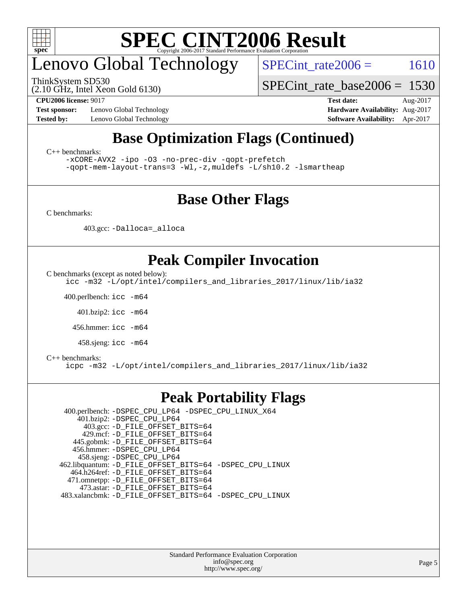

## enovo Global Technology

ThinkSystem SD530

SPECint rate $2006 = 1610$ 

(2.10 GHz, Intel Xeon Gold 6130)

**[Test sponsor:](http://www.spec.org/auto/cpu2006/Docs/result-fields.html#Testsponsor)** Lenovo Global Technology **[Hardware Availability:](http://www.spec.org/auto/cpu2006/Docs/result-fields.html#HardwareAvailability)** Aug-2017 **[Tested by:](http://www.spec.org/auto/cpu2006/Docs/result-fields.html#Testedby)** Lenovo Global Technology **[Software Availability:](http://www.spec.org/auto/cpu2006/Docs/result-fields.html#SoftwareAvailability)** Apr-2017

**[CPU2006 license:](http://www.spec.org/auto/cpu2006/Docs/result-fields.html#CPU2006license)** 9017 **[Test date:](http://www.spec.org/auto/cpu2006/Docs/result-fields.html#Testdate)** Aug-2017

[SPECint\\_rate\\_base2006 =](http://www.spec.org/auto/cpu2006/Docs/result-fields.html#SPECintratebase2006) 1530

## **[Base Optimization Flags \(Continued\)](http://www.spec.org/auto/cpu2006/Docs/result-fields.html#BaseOptimizationFlags)**

[C++ benchmarks:](http://www.spec.org/auto/cpu2006/Docs/result-fields.html#CXXbenchmarks)

[-xCORE-AVX2](http://www.spec.org/cpu2006/results/res2017q4/cpu2006-20170918-49633.flags.html#user_CXXbase_f-xCORE-AVX2) [-ipo](http://www.spec.org/cpu2006/results/res2017q4/cpu2006-20170918-49633.flags.html#user_CXXbase_f-ipo) [-O3](http://www.spec.org/cpu2006/results/res2017q4/cpu2006-20170918-49633.flags.html#user_CXXbase_f-O3) [-no-prec-div](http://www.spec.org/cpu2006/results/res2017q4/cpu2006-20170918-49633.flags.html#user_CXXbase_f-no-prec-div) [-qopt-prefetch](http://www.spec.org/cpu2006/results/res2017q4/cpu2006-20170918-49633.flags.html#user_CXXbase_f-qopt-prefetch) [-qopt-mem-layout-trans=3](http://www.spec.org/cpu2006/results/res2017q4/cpu2006-20170918-49633.flags.html#user_CXXbase_f-qopt-mem-layout-trans_170f5be61cd2cedc9b54468c59262d5d) [-Wl,-z,muldefs](http://www.spec.org/cpu2006/results/res2017q4/cpu2006-20170918-49633.flags.html#user_CXXbase_link_force_multiple1_74079c344b956b9658436fd1b6dd3a8a) [-L/sh10.2 -lsmartheap](http://www.spec.org/cpu2006/results/res2017q4/cpu2006-20170918-49633.flags.html#user_CXXbase_SmartHeap_b831f2d313e2fffa6dfe3f00ffc1f1c0)

### **[Base Other Flags](http://www.spec.org/auto/cpu2006/Docs/result-fields.html#BaseOtherFlags)**

[C benchmarks](http://www.spec.org/auto/cpu2006/Docs/result-fields.html#Cbenchmarks):

403.gcc: [-Dalloca=\\_alloca](http://www.spec.org/cpu2006/results/res2017q4/cpu2006-20170918-49633.flags.html#b403.gcc_baseEXTRA_CFLAGS_Dalloca_be3056838c12de2578596ca5467af7f3)

## **[Peak Compiler Invocation](http://www.spec.org/auto/cpu2006/Docs/result-fields.html#PeakCompilerInvocation)**

[C benchmarks \(except as noted below\)](http://www.spec.org/auto/cpu2006/Docs/result-fields.html#Cbenchmarksexceptasnotedbelow):

[icc -m32 -L/opt/intel/compilers\\_and\\_libraries\\_2017/linux/lib/ia32](http://www.spec.org/cpu2006/results/res2017q4/cpu2006-20170918-49633.flags.html#user_CCpeak_intel_icc_c29f3ff5a7ed067b11e4ec10a03f03ae)

400.perlbench: [icc -m64](http://www.spec.org/cpu2006/results/res2017q4/cpu2006-20170918-49633.flags.html#user_peakCCLD400_perlbench_intel_icc_64bit_bda6cc9af1fdbb0edc3795bac97ada53)

401.bzip2: [icc -m64](http://www.spec.org/cpu2006/results/res2017q4/cpu2006-20170918-49633.flags.html#user_peakCCLD401_bzip2_intel_icc_64bit_bda6cc9af1fdbb0edc3795bac97ada53)

456.hmmer: [icc -m64](http://www.spec.org/cpu2006/results/res2017q4/cpu2006-20170918-49633.flags.html#user_peakCCLD456_hmmer_intel_icc_64bit_bda6cc9af1fdbb0edc3795bac97ada53)

458.sjeng: [icc -m64](http://www.spec.org/cpu2006/results/res2017q4/cpu2006-20170918-49633.flags.html#user_peakCCLD458_sjeng_intel_icc_64bit_bda6cc9af1fdbb0edc3795bac97ada53)

#### [C++ benchmarks:](http://www.spec.org/auto/cpu2006/Docs/result-fields.html#CXXbenchmarks)

[icpc -m32 -L/opt/intel/compilers\\_and\\_libraries\\_2017/linux/lib/ia32](http://www.spec.org/cpu2006/results/res2017q4/cpu2006-20170918-49633.flags.html#user_CXXpeak_intel_icpc_8c35c7808b62dab9ae41a1aa06361b6b)

### **[Peak Portability Flags](http://www.spec.org/auto/cpu2006/Docs/result-fields.html#PeakPortabilityFlags)**

 400.perlbench: [-DSPEC\\_CPU\\_LP64](http://www.spec.org/cpu2006/results/res2017q4/cpu2006-20170918-49633.flags.html#b400.perlbench_peakCPORTABILITY_DSPEC_CPU_LP64) [-DSPEC\\_CPU\\_LINUX\\_X64](http://www.spec.org/cpu2006/results/res2017q4/cpu2006-20170918-49633.flags.html#b400.perlbench_peakCPORTABILITY_DSPEC_CPU_LINUX_X64) 401.bzip2: [-DSPEC\\_CPU\\_LP64](http://www.spec.org/cpu2006/results/res2017q4/cpu2006-20170918-49633.flags.html#suite_peakCPORTABILITY401_bzip2_DSPEC_CPU_LP64) 403.gcc: [-D\\_FILE\\_OFFSET\\_BITS=64](http://www.spec.org/cpu2006/results/res2017q4/cpu2006-20170918-49633.flags.html#user_peakPORTABILITY403_gcc_file_offset_bits_64_438cf9856305ebd76870a2c6dc2689ab) 429.mcf: [-D\\_FILE\\_OFFSET\\_BITS=64](http://www.spec.org/cpu2006/results/res2017q4/cpu2006-20170918-49633.flags.html#user_peakPORTABILITY429_mcf_file_offset_bits_64_438cf9856305ebd76870a2c6dc2689ab) 445.gobmk: [-D\\_FILE\\_OFFSET\\_BITS=64](http://www.spec.org/cpu2006/results/res2017q4/cpu2006-20170918-49633.flags.html#user_peakPORTABILITY445_gobmk_file_offset_bits_64_438cf9856305ebd76870a2c6dc2689ab) 456.hmmer: [-DSPEC\\_CPU\\_LP64](http://www.spec.org/cpu2006/results/res2017q4/cpu2006-20170918-49633.flags.html#suite_peakCPORTABILITY456_hmmer_DSPEC_CPU_LP64) 458.sjeng: [-DSPEC\\_CPU\\_LP64](http://www.spec.org/cpu2006/results/res2017q4/cpu2006-20170918-49633.flags.html#suite_peakCPORTABILITY458_sjeng_DSPEC_CPU_LP64) 462.libquantum: [-D\\_FILE\\_OFFSET\\_BITS=64](http://www.spec.org/cpu2006/results/res2017q4/cpu2006-20170918-49633.flags.html#user_peakPORTABILITY462_libquantum_file_offset_bits_64_438cf9856305ebd76870a2c6dc2689ab) [-DSPEC\\_CPU\\_LINUX](http://www.spec.org/cpu2006/results/res2017q4/cpu2006-20170918-49633.flags.html#b462.libquantum_peakCPORTABILITY_DSPEC_CPU_LINUX) 464.h264ref: [-D\\_FILE\\_OFFSET\\_BITS=64](http://www.spec.org/cpu2006/results/res2017q4/cpu2006-20170918-49633.flags.html#user_peakPORTABILITY464_h264ref_file_offset_bits_64_438cf9856305ebd76870a2c6dc2689ab) 471.omnetpp: [-D\\_FILE\\_OFFSET\\_BITS=64](http://www.spec.org/cpu2006/results/res2017q4/cpu2006-20170918-49633.flags.html#user_peakPORTABILITY471_omnetpp_file_offset_bits_64_438cf9856305ebd76870a2c6dc2689ab) 473.astar: [-D\\_FILE\\_OFFSET\\_BITS=64](http://www.spec.org/cpu2006/results/res2017q4/cpu2006-20170918-49633.flags.html#user_peakPORTABILITY473_astar_file_offset_bits_64_438cf9856305ebd76870a2c6dc2689ab) 483.xalancbmk: [-D\\_FILE\\_OFFSET\\_BITS=64](http://www.spec.org/cpu2006/results/res2017q4/cpu2006-20170918-49633.flags.html#user_peakPORTABILITY483_xalancbmk_file_offset_bits_64_438cf9856305ebd76870a2c6dc2689ab) [-DSPEC\\_CPU\\_LINUX](http://www.spec.org/cpu2006/results/res2017q4/cpu2006-20170918-49633.flags.html#b483.xalancbmk_peakCXXPORTABILITY_DSPEC_CPU_LINUX)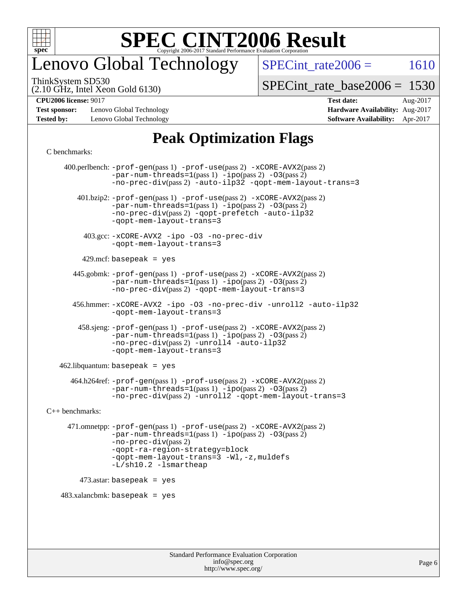

## enovo Global Technology

SPECint rate $2006 = 1610$ 

ThinkSystem SD530

(2.10 GHz, Intel Xeon Gold 6130)

[SPECint\\_rate\\_base2006 =](http://www.spec.org/auto/cpu2006/Docs/result-fields.html#SPECintratebase2006) 1530

**[Test sponsor:](http://www.spec.org/auto/cpu2006/Docs/result-fields.html#Testsponsor)** Lenovo Global Technology **[Hardware Availability:](http://www.spec.org/auto/cpu2006/Docs/result-fields.html#HardwareAvailability)** Aug-2017 **[Tested by:](http://www.spec.org/auto/cpu2006/Docs/result-fields.html#Testedby)** Lenovo Global Technology **[Software Availability:](http://www.spec.org/auto/cpu2006/Docs/result-fields.html#SoftwareAvailability)** Apr-2017

## **[CPU2006 license:](http://www.spec.org/auto/cpu2006/Docs/result-fields.html#CPU2006license)** 9017 **[Test date:](http://www.spec.org/auto/cpu2006/Docs/result-fields.html#Testdate)** Aug-2017

## **[Peak Optimization Flags](http://www.spec.org/auto/cpu2006/Docs/result-fields.html#PeakOptimizationFlags)**

#### [C benchmarks](http://www.spec.org/auto/cpu2006/Docs/result-fields.html#Cbenchmarks):

 400.perlbench: [-prof-gen](http://www.spec.org/cpu2006/results/res2017q4/cpu2006-20170918-49633.flags.html#user_peakPASS1_CFLAGSPASS1_LDCFLAGS400_perlbench_prof_gen_e43856698f6ca7b7e442dfd80e94a8fc)(pass 1) [-prof-use](http://www.spec.org/cpu2006/results/res2017q4/cpu2006-20170918-49633.flags.html#user_peakPASS2_CFLAGSPASS2_LDCFLAGS400_perlbench_prof_use_bccf7792157ff70d64e32fe3e1250b55)(pass 2) [-xCORE-AVX2](http://www.spec.org/cpu2006/results/res2017q4/cpu2006-20170918-49633.flags.html#user_peakPASS2_CFLAGSPASS2_LDCFLAGS400_perlbench_f-xCORE-AVX2)(pass 2)  $-par-num-threads=1(pass 1) -ipo(pass 2) -O3(pass 2)$  $-par-num-threads=1(pass 1) -ipo(pass 2) -O3(pass 2)$  $-par-num-threads=1(pass 1) -ipo(pass 2) -O3(pass 2)$  $-par-num-threads=1(pass 1) -ipo(pass 2) -O3(pass 2)$  $-par-num-threads=1(pass 1) -ipo(pass 2) -O3(pass 2)$  $-par-num-threads=1(pass 1) -ipo(pass 2) -O3(pass 2)$ [-no-prec-div](http://www.spec.org/cpu2006/results/res2017q4/cpu2006-20170918-49633.flags.html#user_peakPASS2_CFLAGSPASS2_LDCFLAGS400_perlbench_f-no-prec-div)(pass 2) [-auto-ilp32](http://www.spec.org/cpu2006/results/res2017q4/cpu2006-20170918-49633.flags.html#user_peakCOPTIMIZE400_perlbench_f-auto-ilp32) [-qopt-mem-layout-trans=3](http://www.spec.org/cpu2006/results/res2017q4/cpu2006-20170918-49633.flags.html#user_peakCOPTIMIZE400_perlbench_f-qopt-mem-layout-trans_170f5be61cd2cedc9b54468c59262d5d) 401.bzip2: [-prof-gen](http://www.spec.org/cpu2006/results/res2017q4/cpu2006-20170918-49633.flags.html#user_peakPASS1_CFLAGSPASS1_LDCFLAGS401_bzip2_prof_gen_e43856698f6ca7b7e442dfd80e94a8fc)(pass 1) [-prof-use](http://www.spec.org/cpu2006/results/res2017q4/cpu2006-20170918-49633.flags.html#user_peakPASS2_CFLAGSPASS2_LDCFLAGS401_bzip2_prof_use_bccf7792157ff70d64e32fe3e1250b55)(pass 2) [-xCORE-AVX2](http://www.spec.org/cpu2006/results/res2017q4/cpu2006-20170918-49633.flags.html#user_peakPASS2_CFLAGSPASS2_LDCFLAGS401_bzip2_f-xCORE-AVX2)(pass 2) [-par-num-threads=1](http://www.spec.org/cpu2006/results/res2017q4/cpu2006-20170918-49633.flags.html#user_peakPASS1_CFLAGSPASS1_LDCFLAGS401_bzip2_par_num_threads_786a6ff141b4e9e90432e998842df6c2)(pass 1) [-ipo](http://www.spec.org/cpu2006/results/res2017q4/cpu2006-20170918-49633.flags.html#user_peakPASS2_CFLAGSPASS2_LDCFLAGS401_bzip2_f-ipo)(pass 2) [-O3](http://www.spec.org/cpu2006/results/res2017q4/cpu2006-20170918-49633.flags.html#user_peakPASS2_CFLAGSPASS2_LDCFLAGS401_bzip2_f-O3)(pass 2) [-no-prec-div](http://www.spec.org/cpu2006/results/res2017q4/cpu2006-20170918-49633.flags.html#user_peakPASS2_CFLAGSPASS2_LDCFLAGS401_bzip2_f-no-prec-div)(pass 2) [-qopt-prefetch](http://www.spec.org/cpu2006/results/res2017q4/cpu2006-20170918-49633.flags.html#user_peakCOPTIMIZE401_bzip2_f-qopt-prefetch) [-auto-ilp32](http://www.spec.org/cpu2006/results/res2017q4/cpu2006-20170918-49633.flags.html#user_peakCOPTIMIZE401_bzip2_f-auto-ilp32) [-qopt-mem-layout-trans=3](http://www.spec.org/cpu2006/results/res2017q4/cpu2006-20170918-49633.flags.html#user_peakCOPTIMIZE401_bzip2_f-qopt-mem-layout-trans_170f5be61cd2cedc9b54468c59262d5d) 403.gcc: [-xCORE-AVX2](http://www.spec.org/cpu2006/results/res2017q4/cpu2006-20170918-49633.flags.html#user_peakOPTIMIZE403_gcc_f-xCORE-AVX2) [-ipo](http://www.spec.org/cpu2006/results/res2017q4/cpu2006-20170918-49633.flags.html#user_peakOPTIMIZE403_gcc_f-ipo) [-O3](http://www.spec.org/cpu2006/results/res2017q4/cpu2006-20170918-49633.flags.html#user_peakOPTIMIZE403_gcc_f-O3) [-no-prec-div](http://www.spec.org/cpu2006/results/res2017q4/cpu2006-20170918-49633.flags.html#user_peakOPTIMIZE403_gcc_f-no-prec-div) [-qopt-mem-layout-trans=3](http://www.spec.org/cpu2006/results/res2017q4/cpu2006-20170918-49633.flags.html#user_peakCOPTIMIZE403_gcc_f-qopt-mem-layout-trans_170f5be61cd2cedc9b54468c59262d5d)  $429$ .mcf: basepeak = yes 445.gobmk: [-prof-gen](http://www.spec.org/cpu2006/results/res2017q4/cpu2006-20170918-49633.flags.html#user_peakPASS1_CFLAGSPASS1_LDCFLAGS445_gobmk_prof_gen_e43856698f6ca7b7e442dfd80e94a8fc)(pass 1) [-prof-use](http://www.spec.org/cpu2006/results/res2017q4/cpu2006-20170918-49633.flags.html#user_peakPASS2_CFLAGSPASS2_LDCFLAGSPASS2_LDFLAGS445_gobmk_prof_use_bccf7792157ff70d64e32fe3e1250b55)(pass 2) [-xCORE-AVX2](http://www.spec.org/cpu2006/results/res2017q4/cpu2006-20170918-49633.flags.html#user_peakPASS2_CFLAGSPASS2_LDCFLAGSPASS2_LDFLAGS445_gobmk_f-xCORE-AVX2)(pass 2)  $-par-num-threads=1(pass 1) -ipo(pass 2) -O3(pass 2)$  $-par-num-threads=1(pass 1) -ipo(pass 2) -O3(pass 2)$  $-par-num-threads=1(pass 1) -ipo(pass 2) -O3(pass 2)$  $-par-num-threads=1(pass 1) -ipo(pass 2) -O3(pass 2)$  $-par-num-threads=1(pass 1) -ipo(pass 2) -O3(pass 2)$  $-par-num-threads=1(pass 1) -ipo(pass 2) -O3(pass 2)$ [-no-prec-div](http://www.spec.org/cpu2006/results/res2017q4/cpu2006-20170918-49633.flags.html#user_peakPASS2_LDCFLAGS445_gobmk_f-no-prec-div)(pass 2) [-qopt-mem-layout-trans=3](http://www.spec.org/cpu2006/results/res2017q4/cpu2006-20170918-49633.flags.html#user_peakCOPTIMIZE445_gobmk_f-qopt-mem-layout-trans_170f5be61cd2cedc9b54468c59262d5d) 456.hmmer: [-xCORE-AVX2](http://www.spec.org/cpu2006/results/res2017q4/cpu2006-20170918-49633.flags.html#user_peakOPTIMIZE456_hmmer_f-xCORE-AVX2) [-ipo](http://www.spec.org/cpu2006/results/res2017q4/cpu2006-20170918-49633.flags.html#user_peakOPTIMIZE456_hmmer_f-ipo) [-O3](http://www.spec.org/cpu2006/results/res2017q4/cpu2006-20170918-49633.flags.html#user_peakOPTIMIZE456_hmmer_f-O3) [-no-prec-div](http://www.spec.org/cpu2006/results/res2017q4/cpu2006-20170918-49633.flags.html#user_peakOPTIMIZE456_hmmer_f-no-prec-div) [-unroll2](http://www.spec.org/cpu2006/results/res2017q4/cpu2006-20170918-49633.flags.html#user_peakCOPTIMIZE456_hmmer_f-unroll_784dae83bebfb236979b41d2422d7ec2) [-auto-ilp32](http://www.spec.org/cpu2006/results/res2017q4/cpu2006-20170918-49633.flags.html#user_peakCOPTIMIZE456_hmmer_f-auto-ilp32) [-qopt-mem-layout-trans=3](http://www.spec.org/cpu2006/results/res2017q4/cpu2006-20170918-49633.flags.html#user_peakCOPTIMIZE456_hmmer_f-qopt-mem-layout-trans_170f5be61cd2cedc9b54468c59262d5d) 458.sjeng: [-prof-gen](http://www.spec.org/cpu2006/results/res2017q4/cpu2006-20170918-49633.flags.html#user_peakPASS1_CFLAGSPASS1_LDCFLAGS458_sjeng_prof_gen_e43856698f6ca7b7e442dfd80e94a8fc)(pass 1) [-prof-use](http://www.spec.org/cpu2006/results/res2017q4/cpu2006-20170918-49633.flags.html#user_peakPASS2_CFLAGSPASS2_LDCFLAGS458_sjeng_prof_use_bccf7792157ff70d64e32fe3e1250b55)(pass 2) [-xCORE-AVX2](http://www.spec.org/cpu2006/results/res2017q4/cpu2006-20170918-49633.flags.html#user_peakPASS2_CFLAGSPASS2_LDCFLAGS458_sjeng_f-xCORE-AVX2)(pass 2)  $-par-num-threads=1(pass 1) -ipo(pass 2) -O3(pass 2)$  $-par-num-threads=1(pass 1) -ipo(pass 2) -O3(pass 2)$  $-par-num-threads=1(pass 1) -ipo(pass 2) -O3(pass 2)$  $-par-num-threads=1(pass 1) -ipo(pass 2) -O3(pass 2)$  $-par-num-threads=1(pass 1) -ipo(pass 2) -O3(pass 2)$  $-par-num-threads=1(pass 1) -ipo(pass 2) -O3(pass 2)$ [-no-prec-div](http://www.spec.org/cpu2006/results/res2017q4/cpu2006-20170918-49633.flags.html#user_peakPASS2_CFLAGSPASS2_LDCFLAGS458_sjeng_f-no-prec-div)(pass 2) [-unroll4](http://www.spec.org/cpu2006/results/res2017q4/cpu2006-20170918-49633.flags.html#user_peakCOPTIMIZE458_sjeng_f-unroll_4e5e4ed65b7fd20bdcd365bec371b81f) [-auto-ilp32](http://www.spec.org/cpu2006/results/res2017q4/cpu2006-20170918-49633.flags.html#user_peakCOPTIMIZE458_sjeng_f-auto-ilp32) [-qopt-mem-layout-trans=3](http://www.spec.org/cpu2006/results/res2017q4/cpu2006-20170918-49633.flags.html#user_peakCOPTIMIZE458_sjeng_f-qopt-mem-layout-trans_170f5be61cd2cedc9b54468c59262d5d)  $462$ .libquantum: basepeak = yes 464.h264ref: [-prof-gen](http://www.spec.org/cpu2006/results/res2017q4/cpu2006-20170918-49633.flags.html#user_peakPASS1_CFLAGSPASS1_LDCFLAGS464_h264ref_prof_gen_e43856698f6ca7b7e442dfd80e94a8fc)(pass 1) [-prof-use](http://www.spec.org/cpu2006/results/res2017q4/cpu2006-20170918-49633.flags.html#user_peakPASS2_CFLAGSPASS2_LDCFLAGS464_h264ref_prof_use_bccf7792157ff70d64e32fe3e1250b55)(pass 2) [-xCORE-AVX2](http://www.spec.org/cpu2006/results/res2017q4/cpu2006-20170918-49633.flags.html#user_peakPASS2_CFLAGSPASS2_LDCFLAGS464_h264ref_f-xCORE-AVX2)(pass 2)  $-par-num-threads=1(pass 1) -ipo(pass 2) -O3(pass 2)$  $-par-num-threads=1(pass 1) -ipo(pass 2) -O3(pass 2)$  $-par-num-threads=1(pass 1) -ipo(pass 2) -O3(pass 2)$  $-par-num-threads=1(pass 1) -ipo(pass 2) -O3(pass 2)$  $-par-num-threads=1(pass 1) -ipo(pass 2) -O3(pass 2)$  $-par-num-threads=1(pass 1) -ipo(pass 2) -O3(pass 2)$ [-no-prec-div](http://www.spec.org/cpu2006/results/res2017q4/cpu2006-20170918-49633.flags.html#user_peakPASS2_CFLAGSPASS2_LDCFLAGS464_h264ref_f-no-prec-div)(pass 2) [-unroll2](http://www.spec.org/cpu2006/results/res2017q4/cpu2006-20170918-49633.flags.html#user_peakCOPTIMIZE464_h264ref_f-unroll_784dae83bebfb236979b41d2422d7ec2) [-qopt-mem-layout-trans=3](http://www.spec.org/cpu2006/results/res2017q4/cpu2006-20170918-49633.flags.html#user_peakCOPTIMIZE464_h264ref_f-qopt-mem-layout-trans_170f5be61cd2cedc9b54468c59262d5d) [C++ benchmarks:](http://www.spec.org/auto/cpu2006/Docs/result-fields.html#CXXbenchmarks) 471.omnetpp: [-prof-gen](http://www.spec.org/cpu2006/results/res2017q4/cpu2006-20170918-49633.flags.html#user_peakPASS1_CXXFLAGSPASS1_LDCXXFLAGS471_omnetpp_prof_gen_e43856698f6ca7b7e442dfd80e94a8fc)(pass 1) [-prof-use](http://www.spec.org/cpu2006/results/res2017q4/cpu2006-20170918-49633.flags.html#user_peakPASS2_CXXFLAGSPASS2_LDCXXFLAGS471_omnetpp_prof_use_bccf7792157ff70d64e32fe3e1250b55)(pass 2) [-xCORE-AVX2](http://www.spec.org/cpu2006/results/res2017q4/cpu2006-20170918-49633.flags.html#user_peakPASS2_CXXFLAGSPASS2_LDCXXFLAGS471_omnetpp_f-xCORE-AVX2)(pass 2)  $-par-num-threads=1(pass 1) -ipo(pass 2) -O3(pass 2)$  $-par-num-threads=1(pass 1) -ipo(pass 2) -O3(pass 2)$  $-par-num-threads=1(pass 1) -ipo(pass 2) -O3(pass 2)$  $-par-num-threads=1(pass 1) -ipo(pass 2) -O3(pass 2)$  $-par-num-threads=1(pass 1) -ipo(pass 2) -O3(pass 2)$  $-par-num-threads=1(pass 1) -ipo(pass 2) -O3(pass 2)$ [-no-prec-div](http://www.spec.org/cpu2006/results/res2017q4/cpu2006-20170918-49633.flags.html#user_peakPASS2_CXXFLAGSPASS2_LDCXXFLAGS471_omnetpp_f-no-prec-div)(pass 2) [-qopt-ra-region-strategy=block](http://www.spec.org/cpu2006/results/res2017q4/cpu2006-20170918-49633.flags.html#user_peakCXXOPTIMIZE471_omnetpp_f-qopt-ra-region-strategy_430aa8f7c220cbde92ae827fa8d9be32)  [-qopt-mem-layout-trans=3](http://www.spec.org/cpu2006/results/res2017q4/cpu2006-20170918-49633.flags.html#user_peakCXXOPTIMIZE471_omnetpp_f-qopt-mem-layout-trans_170f5be61cd2cedc9b54468c59262d5d) [-Wl,-z,muldefs](http://www.spec.org/cpu2006/results/res2017q4/cpu2006-20170918-49633.flags.html#user_peakEXTRA_LDFLAGS471_omnetpp_link_force_multiple1_74079c344b956b9658436fd1b6dd3a8a) [-L/sh10.2 -lsmartheap](http://www.spec.org/cpu2006/results/res2017q4/cpu2006-20170918-49633.flags.html#user_peakEXTRA_LIBS471_omnetpp_SmartHeap_b831f2d313e2fffa6dfe3f00ffc1f1c0) 473.astar: basepeak = yes  $483.xalanchmk: basepeak = yes$